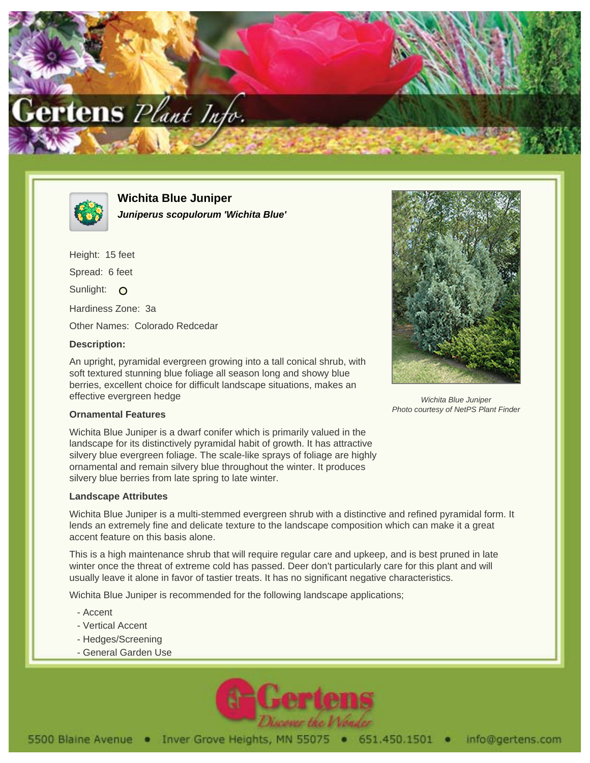



**Wichita Blue Juniper Juniperus scopulorum 'Wichita Blue'**

Height: 15 feet Spread: 6 feet Sunlight: O Hardiness Zone: 3a Other Names: Colorado Redcedar

## **Description:**

An upright, pyramidal evergreen growing into a tall conical shrub, with soft textured stunning blue foliage all season long and showy blue berries, excellent choice for difficult landscape situations, makes an effective evergreen hedge



Wichita Blue Juniper Photo courtesy of NetPS Plant Finder

## **Ornamental Features**

Wichita Blue Juniper is a dwarf conifer which is primarily valued in the landscape for its distinctively pyramidal habit of growth. It has attractive silvery blue evergreen foliage. The scale-like sprays of foliage are highly ornamental and remain silvery blue throughout the winter. It produces silvery blue berries from late spring to late winter.

## **Landscape Attributes**

Wichita Blue Juniper is a multi-stemmed evergreen shrub with a distinctive and refined pyramidal form. It lends an extremely fine and delicate texture to the landscape composition which can make it a great accent feature on this basis alone.

This is a high maintenance shrub that will require regular care and upkeep, and is best pruned in late winter once the threat of extreme cold has passed. Deer don't particularly care for this plant and will usually leave it alone in favor of tastier treats. It has no significant negative characteristics.

Wichita Blue Juniper is recommended for the following landscape applications;

- Accent
- Vertical Accent
- Hedges/Screening
- General Garden Use